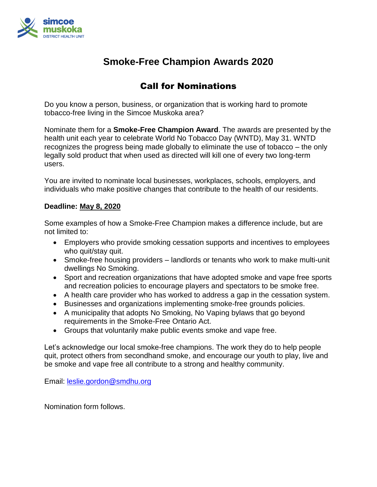

## **Smoke-Free Champion Awards 2020**

## Call for Nominations

Do you know a person, business, or organization that is working hard to promote tobacco-free living in the Simcoe Muskoka area?

Nominate them for a **Smoke-Free Champion Award**. The awards are presented by the health unit each year to celebrate World No Tobacco Day (WNTD), May 31. WNTD recognizes the progress being made globally to eliminate the use of tobacco – the only legally sold product that when used as directed will kill one of every two long-term users.

You are invited to nominate local businesses, workplaces, schools, employers, and individuals who make positive changes that contribute to the health of our residents.

#### **Deadline: May 8, 2020**

Some examples of how a Smoke-Free Champion makes a difference include, but are not limited to:

- Employers who provide smoking cessation supports and incentives to employees who quit/stay quit.
- Smoke-free housing providers landlords or tenants who work to make multi-unit dwellings No Smoking.
- Sport and recreation organizations that have adopted smoke and vape free sports and recreation policies to encourage players and spectators to be smoke free.
- A health care provider who has worked to address a gap in the cessation system.
- Businesses and organizations implementing smoke-free grounds policies.
- A municipality that adopts No Smoking, No Vaping bylaws that go beyond requirements in the Smoke-Free Ontario Act.
- Groups that voluntarily make public events smoke and vape free.

Let's acknowledge our local smoke-free champions. The work they do to help people quit, protect others from secondhand smoke, and encourage our youth to play, live and be smoke and vape free all contribute to a strong and healthy community.

Email: [leslie.gordon@smdhu.org](mailto:leslie.gordon@smdhu.org)

Nomination form follows.